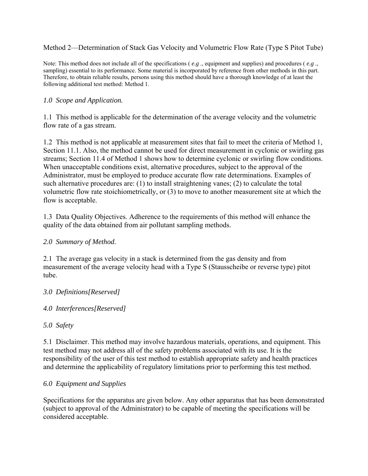Method 2—Determination of Stack Gas Velocity and Volumetric Flow Rate (Type S Pitot Tube)

Note: This method does not include all of the specifications ( *e.g* ., equipment and supplies) and procedures ( *e.g* ., sampling) essential to its performance. Some material is incorporated by reference from other methods in this part. Therefore, to obtain reliable results, persons using this method should have a thorough knowledge of at least the following additional test method: Method 1.

## *1.0 Scope and Application.*

1.1 This method is applicable for the determination of the average velocity and the volumetric flow rate of a gas stream.

1.2 This method is not applicable at measurement sites that fail to meet the criteria of Method 1, Section 11.1. Also, the method cannot be used for direct measurement in cyclonic or swirling gas streams; Section 11.4 of Method 1 shows how to determine cyclonic or swirling flow conditions. When unacceptable conditions exist, alternative procedures, subject to the approval of the Administrator, must be employed to produce accurate flow rate determinations. Examples of such alternative procedures are: (1) to install straightening vanes; (2) to calculate the total volumetric flow rate stoichiometrically, or (3) to move to another measurement site at which the flow is acceptable.

1.3 Data Quality Objectives. Adherence to the requirements of this method will enhance the quality of the data obtained from air pollutant sampling methods.

#### *2.0 Summary of Method.*

2.1 The average gas velocity in a stack is determined from the gas density and from measurement of the average velocity head with a Type S (Stausscheibe or reverse type) pitot tube.

## *3.0 Definitions[Reserved]*

*4.0 Interferences[Reserved]*

## *5.0 Safety*

5.1 Disclaimer. This method may involve hazardous materials, operations, and equipment. This test method may not address all of the safety problems associated with its use. It is the responsibility of the user of this test method to establish appropriate safety and health practices and determine the applicability of regulatory limitations prior to performing this test method.

## *6.0 Equipment and Supplies*

Specifications for the apparatus are given below. Any other apparatus that has been demonstrated (subject to approval of the Administrator) to be capable of meeting the specifications will be considered acceptable.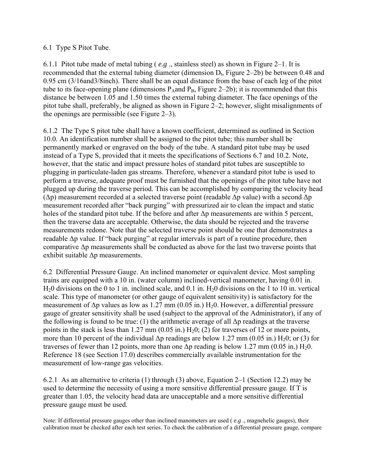## 6.1 Type S Pitot Tube.

6.1.1 Pitot tube made of metal tubing ( *e.g* ., stainless steel) as shown in Figure 2–1. It is recommended that the external tubing diameter (dimension  $D_t$ , Figure 2–2b) be between 0.48 and 0.95 cm (3/16and3/8inch). There shall be an equal distance from the base of each leg of the pitot tube to its face-opening plane (dimensions  $P_A$ and  $P_B$ , Figure 2–2b); it is recommended that this distance be between 1.05 and 1.50 times the external tubing diameter. The face openings of the pitot tube shall, preferably, be aligned as shown in Figure 2–2; however, slight misalignments of the openings are permissible (see Figure 2–3).

6.1.2 The Type S pitot tube shall have a known coefficient, determined as outlined in Section 10.0. An identification number shall be assigned to the pitot tube; this number shall be permanently marked or engraved on the body of the tube. A standard pitot tube may be used instead of a Type S, provided that it meets the specifications of Sections 6.7 and 10.2. Note, however, that the static and impact pressure holes of standard pitot tubes are susceptible to plugging in particulate-laden gas streams. Therefore, whenever a standard pitot tube is used to perform a traverse, adequate proof must be furnished that the openings of the pitot tube have not plugged up during the traverse period. This can be accomplished by comparing the velocity head ( $Δp$ ) measurement recorded at a selected traverse point (readable  $Δp$  value) with a second  $Δp$ measurement recorded after "back purging" with pressurized air to clean the impact and static holes of the standard pitot tube. If the before and after Δp measurements are within 5 percent, then the traverse data are acceptable. Otherwise, the data should be rejected and the traverse measurements redone. Note that the selected traverse point should be one that demonstrates a readable Δp value. If "back purging" at regular intervals is part of a routine procedure, then comparative  $\Delta p$  measurements shall be conducted as above for the last two traverse points that exhibit suitable Δp measurements.

6.2 Differential Pressure Gauge. An inclined manometer or equivalent device. Most sampling trains are equipped with a 10 in. (water column) inclined-vertical manometer, having 0.01 in.  $H<sub>2</sub>0$  divisions on the 0 to 1 in. inclined scale, and 0.1 in.  $H<sub>2</sub>0$  divisions on the 1 to 10 in. vertical scale. This type of manometer (or other gauge of equivalent sensitivity) is satisfactory for the measurement of  $\Delta p$  values as low as 1.27 mm (0.05 in.) H<sub>2</sub>0. However, a differential pressure gauge of greater sensitivity shall be used (subject to the approval of the Administrator), if any of the following is found to be true: (1) the arithmetic average of all  $\Delta p$  readings at the traverse points in the stack is less than 1.27 mm  $(0.05 \text{ in.}) \text{H}_20$ ; (2) for traverses of 12 or more points, more than 10 percent of the individual  $\Delta p$  readings are below 1.27 mm (0.05 in.) H<sub>2</sub>0; or (3) for traverses of fewer than 12 points, more than one  $\Delta p$  reading is below 1.27 mm (0.05 in.) H<sub>2</sub>0. Reference 18 (see Section 17.0) describes commercially available instrumentation for the measurement of low-range gas velocities.

6.2.1 As an alternative to criteria (1) through (3) above, Equation 2–1 (Section 12.2) may be used to determine the necessity of using a more sensitive differential pressure gauge. If T is greater than 1.05, the velocity head data are unacceptable and a more sensitive differential pressure gauge must be used.

Note: If differential pressure gauges other than inclined manometers are used ( *e.g* ., magnehelic gauges), their calibration must be checked after each test series. To check the calibration of a differential pressure gauge, compare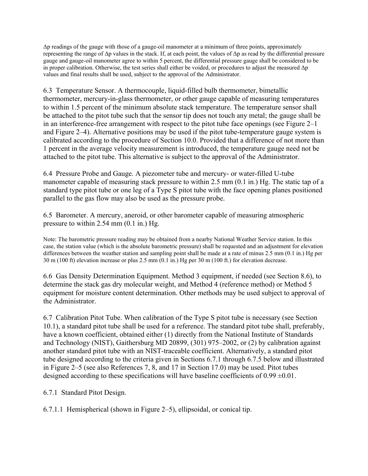Δp readings of the gauge with those of a gauge-oil manometer at a minimum of three points, approximately representing the range of Δp values in the stack. If, at each point, the values of Δp as read by the differential pressure gauge and gauge-oil manometer agree to within 5 percent, the differential pressure gauge shall be considered to be in proper calibration. Otherwise, the test series shall either be voided, or procedures to adjust the measured Δp values and final results shall be used, subject to the approval of the Administrator.

6.3 Temperature Sensor. A thermocouple, liquid-filled bulb thermometer, bimetallic thermometer, mercury-in-glass thermometer, or other gauge capable of measuring temperatures to within 1.5 percent of the minimum absolute stack temperature. The temperature sensor shall be attached to the pitot tube such that the sensor tip does not touch any metal; the gauge shall be in an interference-free arrangement with respect to the pitot tube face openings (see Figure 2–1 and Figure 2–4). Alternative positions may be used if the pitot tube-temperature gauge system is calibrated according to the procedure of Section 10.0. Provided that a difference of not more than 1 percent in the average velocity measurement is introduced, the temperature gauge need not be attached to the pitot tube. This alternative is subject to the approval of the Administrator.

6.4 Pressure Probe and Gauge. A piezometer tube and mercury- or water-filled U-tube manometer capable of measuring stack pressure to within 2.5 mm (0.1 in.) Hg. The static tap of a standard type pitot tube or one leg of a Type S pitot tube with the face opening planes positioned parallel to the gas flow may also be used as the pressure probe.

6.5 Barometer. A mercury, aneroid, or other barometer capable of measuring atmospheric pressure to within 2.54 mm (0.1 in.) Hg.

Note: The barometric pressure reading may be obtained from a nearby National Weather Service station. In this case, the station value (which is the absolute barometric pressure) shall be requested and an adjustment for elevation differences between the weather station and sampling point shall be made at a rate of minus 2.5 mm (0.1 in.) Hg per 30 m (100 ft) elevation increase or plus 2.5 mm (0.1 in.) Hg per 30 m (100 ft.) for elevation decrease.

6.6 Gas Density Determination Equipment. Method 3 equipment, if needed (see Section 8.6), to determine the stack gas dry molecular weight, and Method 4 (reference method) or Method 5 equipment for moisture content determination. Other methods may be used subject to approval of the Administrator.

6.7 Calibration Pitot Tube. When calibration of the Type S pitot tube is necessary (see Section 10.1), a standard pitot tube shall be used for a reference. The standard pitot tube shall, preferably, have a known coefficient, obtained either (1) directly from the National Institute of Standards and Technology (NIST), Gaithersburg MD 20899, (301) 975–2002, or (2) by calibration against another standard pitot tube with an NIST-traceable coefficient. Alternatively, a standard pitot tube designed according to the criteria given in Sections 6.7.1 through 6.7.5 below and illustrated in Figure 2–5 (see also References 7, 8, and 17 in Section 17.0) may be used. Pitot tubes designed according to these specifications will have baseline coefficients of  $0.99 \pm 0.01$ .

6.7.1 Standard Pitot Design.

6.7.1.1 Hemispherical (shown in Figure 2–5), ellipsoidal, or conical tip.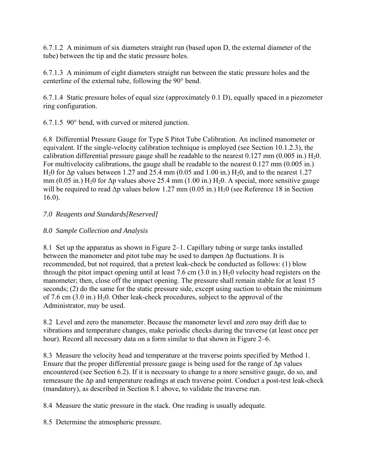6.7.1.2 A minimum of six diameters straight run (based upon D, the external diameter of the tube) between the tip and the static pressure holes.

6.7.1.3 A minimum of eight diameters straight run between the static pressure holes and the centerline of the external tube, following the 90° bend.

6.7.1.4 Static pressure holes of equal size (approximately 0.1 D), equally spaced in a piezometer ring configuration.

6.7.1.5 90° bend, with curved or mitered junction.

6.8 Differential Pressure Gauge for Type S Pitot Tube Calibration. An inclined manometer or equivalent. If the single-velocity calibration technique is employed (see Section 10.1.2.3), the calibration differential pressure gauge shall be readable to the nearest  $0.127$  mm ( $0.005$  in.)  $H<sub>2</sub>0$ . For multivelocity calibrations, the gauge shall be readable to the nearest 0.127 mm (0.005 in.) H<sub>2</sub>O for  $\Delta p$  values between 1.27 and 25.4 mm (0.05 and 1.00 in.) H<sub>2</sub>O, and to the nearest 1.27 mm (0.05 in.) H<sub>2</sub>0 for  $\Delta p$  values above 25.4 mm (1.00 in.) H<sub>2</sub>0. A special, more sensitive gauge will be required to read  $\Delta p$  values below 1.27 mm (0.05 in.) H<sub>2</sub>0 (see Reference 18 in Section 16.0).

## *7.0 Reagents and Standards[Reserved]*

## *8.0 Sample Collection and Analysis*

8.1 Set up the apparatus as shown in Figure 2–1. Capillary tubing or surge tanks installed between the manometer and pitot tube may be used to dampen  $\Delta p$  fluctuations. It is recommended, but not required, that a pretest leak-check be conducted as follows: (1) blow through the pitot impact opening until at least 7.6 cm  $(3.0 \text{ in.}) \text{ H}_2\text{0}$  velocity head registers on the manometer; then, close off the impact opening. The pressure shall remain stable for at least 15 seconds; (2) do the same for the static pressure side, except using suction to obtain the minimum of 7.6 cm  $(3.0 \text{ in.})$  H<sub>2</sub>0. Other leak-check procedures, subject to the approval of the Administrator, may be used.

8.2 Level and zero the manometer. Because the manometer level and zero may drift due to vibrations and temperature changes, make periodic checks during the traverse (at least once per hour). Record all necessary data on a form similar to that shown in Figure 2–6.

8.3 Measure the velocity head and temperature at the traverse points specified by Method 1. Ensure that the proper differential pressure gauge is being used for the range of  $\Delta p$  values encountered (see Section 6.2). If it is necessary to change to a more sensitive gauge, do so, and remeasure the Δp and temperature readings at each traverse point. Conduct a post-test leak-check (mandatory), as described in Section 8.1 above, to validate the traverse run.

8.4 Measure the static pressure in the stack. One reading is usually adequate.

8.5 Determine the atmospheric pressure.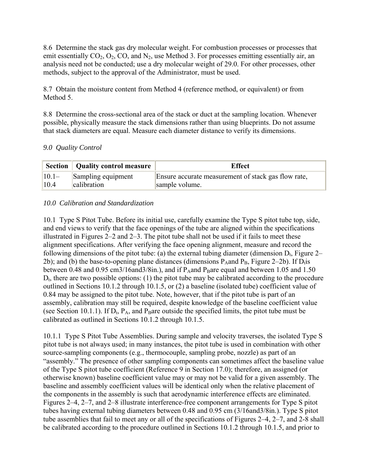8.6 Determine the stack gas dry molecular weight. For combustion processes or processes that emit essentially  $CO_2$ ,  $O_2$ ,  $CO$ , and  $N_2$ , use Method 3. For processes emitting essentially air, an analysis need not be conducted; use a dry molecular weight of 29.0. For other processes, other methods, subject to the approval of the Administrator, must be used.

8.7 Obtain the moisture content from Method 4 (reference method, or equivalent) or from Method 5.

8.8 Determine the cross-sectional area of the stack or duct at the sampling location. Whenever possible, physically measure the stack dimensions rather than using blueprints. Do not assume that stack diameters are equal. Measure each diameter distance to verify its dimensions.

## *9.0 Quality Control*

|          | Section   Quality control measure | <b>Effect</b>                                       |
|----------|-----------------------------------|-----------------------------------------------------|
| $ 10.1-$ | Sampling equipment                | Ensure accurate measurement of stack gas flow rate, |
| 10.4     | calibration                       | sample volume.                                      |

## *10.0 Calibration and Standardization*

10.1 Type S Pitot Tube. Before its initial use, carefully examine the Type S pitot tube top, side, and end views to verify that the face openings of the tube are aligned within the specifications illustrated in Figures 2–2 and 2–3. The pitot tube shall not be used if it fails to meet these alignment specifications. After verifying the face opening alignment, measure and record the following dimensions of the pitot tube: (a) the external tubing diameter (dimension  $D_t$ , Figure 2– 2b); and (b) the base-to-opening plane distances (dimensions  $P_A$  and  $P_B$ , Figure 2–2b). If  $D_t$  is between 0.48 and 0.95 cm3/16and3/8in.), and if  $P_A$ and  $P_B$ are equal and between 1.05 and 1.50  $D_t$ , there are two possible options: (1) the pitot tube may be calibrated according to the procedure outlined in Sections 10.1.2 through 10.1.5, or (2) a baseline (isolated tube) coefficient value of 0.84 may be assigned to the pitot tube. Note, however, that if the pitot tube is part of an assembly, calibration may still be required, despite knowledge of the baseline coefficient value (see Section 10.1.1). If  $D_t$ ,  $P_A$ , and  $P_B$ are outside the specified limits, the pitot tube must be calibrated as outlined in Sections 10.1.2 through 10.1.5.

10.1.1 Type S Pitot Tube Assemblies. During sample and velocity traverses, the isolated Type S pitot tube is not always used; in many instances, the pitot tube is used in combination with other source-sampling components (e.g., thermocouple, sampling probe, nozzle) as part of an "assembly." The presence of other sampling components can sometimes affect the baseline value of the Type S pitot tube coefficient (Reference 9 in Section 17.0); therefore, an assigned (or otherwise known) baseline coefficient value may or may not be valid for a given assembly. The baseline and assembly coefficient values will be identical only when the relative placement of the components in the assembly is such that aerodynamic interference effects are eliminated. Figures 2–4, 2–7, and 2–8 illustrate interference-free component arrangements for Type S pitot tubes having external tubing diameters between 0.48 and 0.95 cm (3/16and3/8in.). Type S pitot tube assemblies that fail to meet any or all of the specifications of Figures 2–4, 2–7, and 2-8 shall be calibrated according to the procedure outlined in Sections 10.1.2 through 10.1.5, and prior to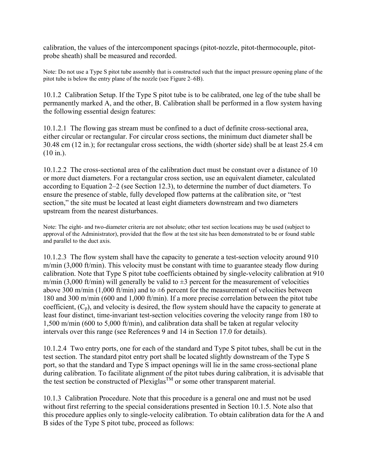calibration, the values of the intercomponent spacings (pitot-nozzle, pitot-thermocouple, pitotprobe sheath) shall be measured and recorded.

Note: Do not use a Type S pitot tube assembly that is constructed such that the impact pressure opening plane of the pitot tube is below the entry plane of the nozzle (see Figure 2–6B).

10.1.2 Calibration Setup. If the Type S pitot tube is to be calibrated, one leg of the tube shall be permanently marked A, and the other, B. Calibration shall be performed in a flow system having the following essential design features:

10.1.2.1 The flowing gas stream must be confined to a duct of definite cross-sectional area, either circular or rectangular. For circular cross sections, the minimum duct diameter shall be 30.48 cm (12 in.); for rectangular cross sections, the width (shorter side) shall be at least 25.4 cm  $(10 \text{ in.})$ .

10.1.2.2 The cross-sectional area of the calibration duct must be constant over a distance of 10 or more duct diameters. For a rectangular cross section, use an equivalent diameter, calculated according to Equation 2–2 (see Section 12.3), to determine the number of duct diameters. To ensure the presence of stable, fully developed flow patterns at the calibration site, or "test section," the site must be located at least eight diameters downstream and two diameters upstream from the nearest disturbances.

Note: The eight- and two-diameter criteria are not absolute; other test section locations may be used (subject to approval of the Administrator), provided that the flow at the test site has been demonstrated to be or found stable and parallel to the duct axis.

10.1.2.3 The flow system shall have the capacity to generate a test-section velocity around 910 m/min (3,000 ft/min). This velocity must be constant with time to guarantee steady flow during calibration. Note that Type S pitot tube coefficients obtained by single-velocity calibration at 910 m/min (3,000 ft/min) will generally be valid to  $\pm 3$  percent for the measurement of velocities above 300 m/min (1,000 ft/min) and to  $\pm 6$  percent for the measurement of velocities between 180 and 300 m/min (600 and 1,000 ft/min). If a more precise correlation between the pitot tube coefficient,  $(C_p)$ , and velocity is desired, the flow system should have the capacity to generate at least four distinct, time-invariant test-section velocities covering the velocity range from 180 to 1,500 m/min (600 to 5,000 ft/min), and calibration data shall be taken at regular velocity intervals over this range (see References 9 and 14 in Section 17.0 for details).

10.1.2.4 Two entry ports, one for each of the standard and Type S pitot tubes, shall be cut in the test section. The standard pitot entry port shall be located slightly downstream of the Type S port, so that the standard and Type S impact openings will lie in the same cross-sectional plane during calibration. To facilitate alignment of the pitot tubes during calibration, it is advisable that the test section be constructed of  $\widetilde{P}$ lexiglas<sup>TM</sup> or some other transparent material.

10.1.3 Calibration Procedure. Note that this procedure is a general one and must not be used without first referring to the special considerations presented in Section 10.1.5. Note also that this procedure applies only to single-velocity calibration. To obtain calibration data for the A and B sides of the Type S pitot tube, proceed as follows: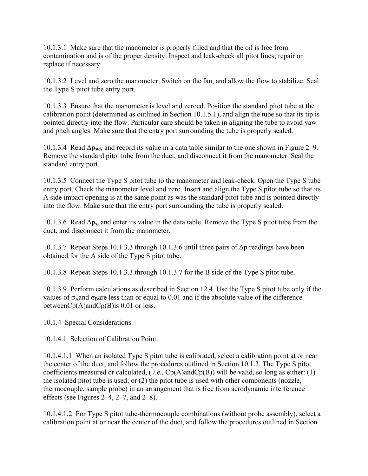10.1.3.1 Make sure that the manometer is properly filled and that the oil is free from contamination and is of the proper density. Inspect and leak-check all pitot lines; repair or replace if necessary.

10.1.3.2 Level and zero the manometer. Switch on the fan, and allow the flow to stabilize. Seal the Type S pitot tube entry port.

10.1.3.3 Ensure that the manometer is level and zeroed. Position the standard pitot tube at the calibration point (determined as outlined in Section 10.1.5.1), and align the tube so that its tip is pointed directly into the flow. Particular care should be taken in aligning the tube to avoid yaw and pitch angles. Make sure that the entry port surrounding the tube is properly sealed.

10.1.3.4 Read  $\Delta p_{std}$ , and record its value in a data table similar to the one shown in Figure 2–9. Remove the standard pitot tube from the duct, and disconnect it from the manometer. Seal the standard entry port.

10.1.3.5 Connect the Type S pitot tube to the manometer and leak-check. Open the Type S tube entry port. Check the manometer level and zero. Insert and align the Type S pitot tube so that its A side impact opening is at the same point as was the standard pitot tube and is pointed directly into the flow. Make sure that the entry port surrounding the tube is properly sealed.

10.1.3.6 Read  $\Delta p_s$ , and enter its value in the data table. Remove the Type S pitot tube from the duct, and disconnect it from the manometer.

10.1.3.7 Repeat Steps 10.1.3.3 through 10.1.3.6 until three pairs of Δp readings have been obtained for the A side of the Type S pitot tube.

10.1.3.8 Repeat Steps 10.1.3.3 through 10.1.3.7 for the B side of the Type S pitot tube.

10.1.3.9 Perform calculations as described in Section 12.4. Use the Type S pitot tube only if the values of  $\sigma_A$ and  $\sigma_B$ are less than or equal to 0.01 and if the absolute value of the difference betweenCp(A)andCp(B)is 0.01 or less.

10.1.4 Special Considerations.

10.1.4.1 Selection of Calibration Point.

10.1.4.1.1 When an isolated Type S pitot tube is calibrated, select a calibration point at or near the center of the duct, and follow the procedures outlined in Section 10.1.3. The Type S pitot coefficients measured or calculated, ( *i.e.,* Cp(A)andCp(B)) will be valid, so long as either: (1) the isolated pitot tube is used; or (2) the pitot tube is used with other components (nozzle, thermocouple, sample probe) in an arrangement that is free from aerodynamic interference effects (see Figures 2–4, 2–7, and 2–8).

10.1.4.1.2 For Type S pitot tube-thermocouple combinations (without probe assembly), select a calibration point at or near the center of the duct, and follow the procedures outlined in Section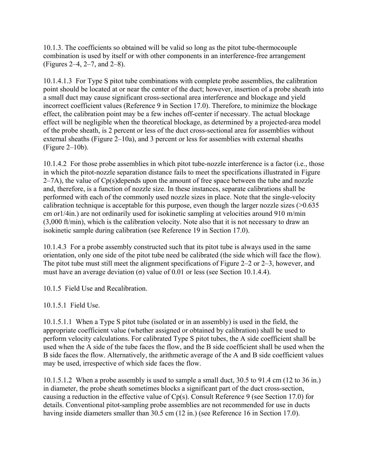10.1.3. The coefficients so obtained will be valid so long as the pitot tube-thermocouple combination is used by itself or with other components in an interference-free arrangement (Figures 2–4, 2–7, and 2–8).

10.1.4.1.3 For Type S pitot tube combinations with complete probe assemblies, the calibration point should be located at or near the center of the duct; however, insertion of a probe sheath into a small duct may cause significant cross-sectional area interference and blockage and yield incorrect coefficient values (Reference 9 in Section 17.0). Therefore, to minimize the blockage effect, the calibration point may be a few inches off-center if necessary. The actual blockage effect will be negligible when the theoretical blockage, as determined by a projected-area model of the probe sheath, is 2 percent or less of the duct cross-sectional area for assemblies without external sheaths (Figure 2–10a), and 3 percent or less for assemblies with external sheaths (Figure 2–10b).

10.1.4.2 For those probe assemblies in which pitot tube-nozzle interference is a factor (i.e., those in which the pitot-nozzle separation distance fails to meet the specifications illustrated in Figure  $2-7A$ ), the value of  $Cp(s)$  depends upon the amount of free space between the tube and nozzle and, therefore, is a function of nozzle size. In these instances, separate calibrations shall be performed with each of the commonly used nozzle sizes in place. Note that the single-velocity calibration technique is acceptable for this purpose, even though the larger nozzle sizes (>0.635 cm or1/4in.) are not ordinarily used for isokinetic sampling at velocities around 910 m/min (3,000 ft/min), which is the calibration velocity. Note also that it is not necessary to draw an isokinetic sample during calibration (see Reference 19 in Section 17.0).

10.1.4.3 For a probe assembly constructed such that its pitot tube is always used in the same orientation, only one side of the pitot tube need be calibrated (the side which will face the flow). The pitot tube must still meet the alignment specifications of Figure 2–2 or 2–3, however, and must have an average deviation (σ) value of 0.01 or less (see Section 10.1.4.4).

10.1.5 Field Use and Recalibration.

10.1.5.1 Field Use.

10.1.5.1.1 When a Type S pitot tube (isolated or in an assembly) is used in the field, the appropriate coefficient value (whether assigned or obtained by calibration) shall be used to perform velocity calculations. For calibrated Type S pitot tubes, the A side coefficient shall be used when the A side of the tube faces the flow, and the B side coefficient shall be used when the B side faces the flow. Alternatively, the arithmetic average of the A and B side coefficient values may be used, irrespective of which side faces the flow.

10.1.5.1.2 When a probe assembly is used to sample a small duct, 30.5 to 91.4 cm (12 to 36 in.) in diameter, the probe sheath sometimes blocks a significant part of the duct cross-section, causing a reduction in the effective value of Cp(s). Consult Reference 9 (see Section 17.0) for details. Conventional pitot-sampling probe assemblies are not recommended for use in ducts having inside diameters smaller than 30.5 cm (12 in.) (see Reference 16 in Section 17.0).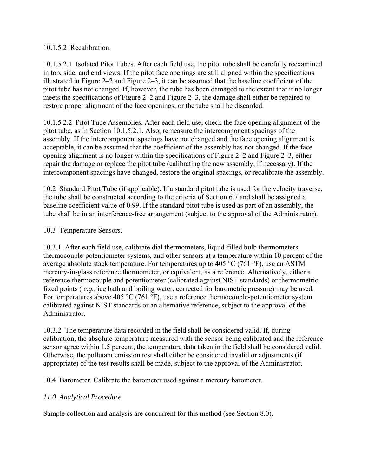## 10.1.5.2 Recalibration.

10.1.5.2.1 Isolated Pitot Tubes. After each field use, the pitot tube shall be carefully reexamined in top, side, and end views. If the pitot face openings are still aligned within the specifications illustrated in Figure  $2-2$  and Figure  $2-3$ , it can be assumed that the baseline coefficient of the pitot tube has not changed. If, however, the tube has been damaged to the extent that it no longer meets the specifications of Figure 2–2 and Figure 2–3, the damage shall either be repaired to restore proper alignment of the face openings, or the tube shall be discarded.

10.1.5.2.2 Pitot Tube Assemblies. After each field use, check the face opening alignment of the pitot tube, as in Section 10.1.5.2.1. Also, remeasure the intercomponent spacings of the assembly. If the intercomponent spacings have not changed and the face opening alignment is acceptable, it can be assumed that the coefficient of the assembly has not changed. If the face opening alignment is no longer within the specifications of Figure 2–2 and Figure 2–3, either repair the damage or replace the pitot tube (calibrating the new assembly, if necessary). If the intercomponent spacings have changed, restore the original spacings, or recalibrate the assembly.

10.2 Standard Pitot Tube (if applicable). If a standard pitot tube is used for the velocity traverse, the tube shall be constructed according to the criteria of Section 6.7 and shall be assigned a baseline coefficient value of 0.99. If the standard pitot tube is used as part of an assembly, the tube shall be in an interference-free arrangement (subject to the approval of the Administrator).

## 10.3 Temperature Sensors.

10.3.1 After each field use, calibrate dial thermometers, liquid-filled bulb thermometers, thermocouple-potentiometer systems, and other sensors at a temperature within 10 percent of the average absolute stack temperature. For temperatures up to 405 °C (761 °F), use an ASTM mercury-in-glass reference thermometer, or equivalent, as a reference. Alternatively, either a reference thermocouple and potentiometer (calibrated against NIST standards) or thermometric fixed points ( *e.g.,* ice bath and boiling water, corrected for barometric pressure) may be used. For temperatures above 405  $\rm{^{\circ}C}$  (761  $\rm{^{\circ}F}$ ), use a reference thermocouple-potentiometer system calibrated against NIST standards or an alternative reference, subject to the approval of the Administrator.

10.3.2 The temperature data recorded in the field shall be considered valid. If, during calibration, the absolute temperature measured with the sensor being calibrated and the reference sensor agree within 1.5 percent, the temperature data taken in the field shall be considered valid. Otherwise, the pollutant emission test shall either be considered invalid or adjustments (if appropriate) of the test results shall be made, subject to the approval of the Administrator.

10.4 Barometer. Calibrate the barometer used against a mercury barometer.

## *11.0 Analytical Procedure*

Sample collection and analysis are concurrent for this method (see Section 8.0).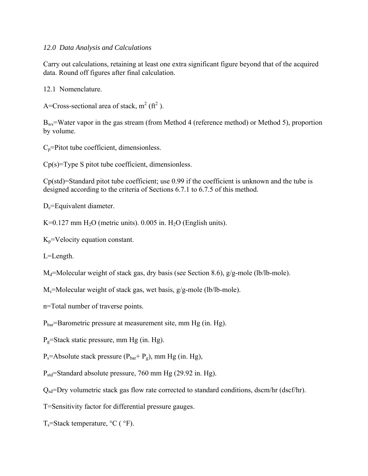#### *12.0 Data Analysis and Calculations*

Carry out calculations, retaining at least one extra significant figure beyond that of the acquired data. Round off figures after final calculation.

12.1 Nomenclature.

A=Cross-sectional area of stack,  $m^2$  ( $ft^2$ ).

Bws=Water vapor in the gas stream (from Method 4 (reference method) or Method 5), proportion by volume.

 $C_p$ =Pitot tube coefficient, dimensionless.

 $Cp(s)$ =Type S pitot tube coefficient, dimensionless.

Cp(std)=Standard pitot tube coefficient; use 0.99 if the coefficient is unknown and the tube is designed according to the criteria of Sections 6.7.1 to 6.7.5 of this method.

D<sub>e</sub>=Equivalent diameter.

K=0.127 mm  $H<sub>2</sub>O$  (metric units). 0.005 in.  $H<sub>2</sub>O$  (English units).

 $K_p$ =Velocity equation constant.

L=Length.

 $M_d$ =Molecular weight of stack gas, dry basis (see Section 8.6), g/g-mole (lb/lb-mole).

 $M_s$ =Molecular weight of stack gas, wet basis, g/g-mole (lb/lb-mole).

n=Total number of traverse points.

 $P_{bar}$ =Barometric pressure at measurement site, mm Hg (in. Hg).

 $P<sub>g</sub>=$ Stack static pressure, mm Hg (in. Hg).

 $P_s$ =Absolute stack pressure ( $P_{bar} + P_g$ ), mm Hg (in. Hg),

 $P_{std}$ =Standard absolute pressure, 760 mm Hg (29.92 in. Hg).

 $Q_{sd}$ =Dry volumetric stack gas flow rate corrected to standard conditions, dscm/hr (dscf/hr).

T=Sensitivity factor for differential pressure gauges.

 $T_s$ =Stack temperature,  $^{\circ}$ C ( $^{\circ}$ F).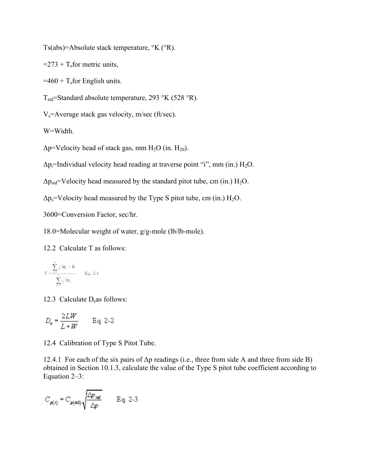Ts(abs)=Absolute stack temperature, °K (°R).

 $=$  273 + T<sub>s</sub>for metric units,

 $=460 + T<sub>s</sub>$  for English units.

 $T_{std}$ =Standard absolute temperature, 293 °K (528 °R).

 $V_s$ =Average stack gas velocity, m/sec (ft/sec).

W=Width.

 $\Delta p$ =Velocity head of stack gas, mm H<sub>2</sub>O (in. H<sub>20</sub>).

 $\Delta p_i$ =Individual velocity head reading at traverse point "i", mm (in.) H<sub>2</sub>O.

 $\Delta p_{std}$ =Velocity head measured by the standard pitot tube, cm (in.) H<sub>2</sub>O.

 $\Delta p_s$ =Velocity head measured by the Type S pitot tube, cm (in.) H<sub>2</sub>O.

3600=Conversion Factor, sec/hr.

18.0=Molecular weight of water, g/g-mole (lb/lb-mole).

12.2 Calculate T as follows:

$$
T = \frac{\displaystyle\sum_{i=1}^{n} \sqrt{\Delta p_i + K}}{\displaystyle\sum_{i=1}^{n} \sqrt{\Delta p_i}} \qquad \text{Eq. 2-1}
$$

12.3 Calculate  $D_e$ as follows:

$$
D_e = \frac{2LW}{L+W} \qquad \text{Eq. 2-2}
$$

12.4 Calibration of Type S Pitot Tube.

12.4.1 For each of the six pairs of Δp readings (i.e., three from side A and three from side B) obtained in Section 10.1.3, calculate the value of the Type S pitot tube coefficient according to Equation 2–3:

$$
C_{p(s)} = C_{p(\text{std})} \sqrt{\frac{\Delta p_{\text{std}}}{\Delta p}} \qquad \text{Eq. 2-3}
$$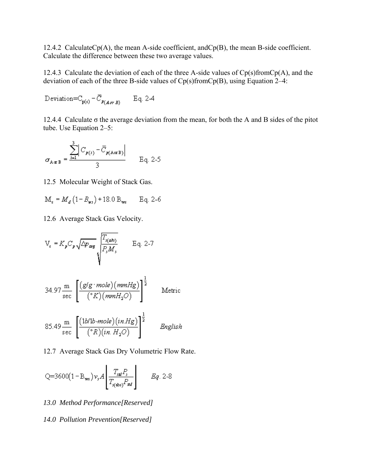12.4.2 CalculateCp(A), the mean A-side coefficient, andCp(B), the mean B-side coefficient. Calculate the difference between these two average values.

12.4.3 Calculate the deviation of each of the three A-side values of  $Cp(s)$ from $Cp(A)$ , and the deviation of each of the three B-side values of Cp(s)fromCp(B), using Equation 2–4:

$$
Deviation = C_{p(s)} - \overline{C}_{p(AorB)} \qquad Eq. 2-4
$$

12.4.4 Calculate  $\sigma$  the average deviation from the mean, for both the A and B sides of the pitot tube. Use Equation 2–5:

$$
\sigma_{A\alpha B} = \frac{\sum_{i=1}^{3} \left| C_{p(i)} - \overline{C}_{p(A\alpha B)} \right|}{3} \qquad \text{Eq. 2-5}
$$

12.5 Molecular Weight of Stack Gas.

$$
M_s = M_d (1 - B_{ws}) + 18.0 B_{ws} \qquad Eq. 2-6
$$

12.6 Average Stack Gas Velocity.

$$
V_s = K_p C_p \sqrt{\Delta p_{\text{avg}}} \sqrt{\frac{T_{s(\text{abs})}}{P_s M_s}} \qquad \text{Eq. 2-7}
$$

34.97 
$$
\frac{\text{m}}{\text{sec}} \left[ \frac{(g/g \cdot mole)(mmHg)}{(^{\circ}K)(mmH_2O)} \right]^{\frac{1}{2}}
$$
 Metric

$$
85.49 \frac{\text{m}}{\text{sec}} \left[ \frac{(1b/1b \text{-}mole)(in \text{Hg})}{(^{\circ}R)(in \text{H}_2O)} \right]^{\frac{1}{2}} \qquad \text{English}
$$

12.7 Average Stack Gas Dry Volumetric Flow Rate.

Q=3600(1-B<sub>ws</sub>)
$$
v, A\left[\frac{T_{sd}P_s}{T_{s(abs)}P_{sd}}\right]
$$
  $Eq. 2-8$ 

#### *13.0 Method Performance[Reserved]*

#### *14.0 Pollution Prevention[Reserved]*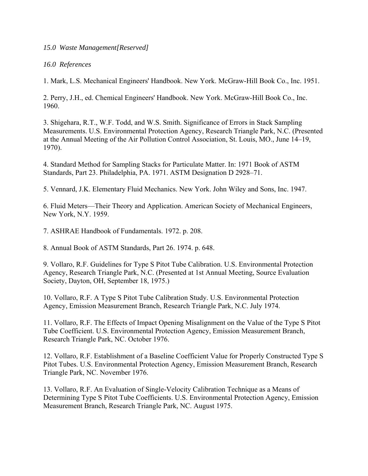#### *15.0 Waste Management[Reserved]*

#### *16.0 References*

1. Mark, L.S. Mechanical Engineers' Handbook. New York. McGraw-Hill Book Co., Inc. 1951.

2. Perry, J.H., ed. Chemical Engineers' Handbook. New York. McGraw-Hill Book Co., Inc. 1960.

3. Shigehara, R.T., W.F. Todd, and W.S. Smith. Significance of Errors in Stack Sampling Measurements. U.S. Environmental Protection Agency, Research Triangle Park, N.C. (Presented at the Annual Meeting of the Air Pollution Control Association, St. Louis, MO., June 14–19, 1970).

4. Standard Method for Sampling Stacks for Particulate Matter. In: 1971 Book of ASTM Standards, Part 23. Philadelphia, PA. 1971. ASTM Designation D 2928–71.

5. Vennard, J.K. Elementary Fluid Mechanics. New York. John Wiley and Sons, Inc. 1947.

6. Fluid Meters—Their Theory and Application. American Society of Mechanical Engineers, New York, N.Y. 1959.

7. ASHRAE Handbook of Fundamentals. 1972. p. 208.

8. Annual Book of ASTM Standards, Part 26. 1974. p. 648.

9. Vollaro, R.F. Guidelines for Type S Pitot Tube Calibration. U.S. Environmental Protection Agency, Research Triangle Park, N.C. (Presented at 1st Annual Meeting, Source Evaluation Society, Dayton, OH, September 18, 1975.)

10. Vollaro, R.F. A Type S Pitot Tube Calibration Study. U.S. Environmental Protection Agency, Emission Measurement Branch, Research Triangle Park, N.C. July 1974.

11. Vollaro, R.F. The Effects of Impact Opening Misalignment on the Value of the Type S Pitot Tube Coefficient. U.S. Environmental Protection Agency, Emission Measurement Branch, Research Triangle Park, NC. October 1976.

12. Vollaro, R.F. Establishment of a Baseline Coefficient Value for Properly Constructed Type S Pitot Tubes. U.S. Environmental Protection Agency, Emission Measurement Branch, Research Triangle Park, NC. November 1976.

13. Vollaro, R.F. An Evaluation of Single-Velocity Calibration Technique as a Means of Determining Type S Pitot Tube Coefficients. U.S. Environmental Protection Agency, Emission Measurement Branch, Research Triangle Park, NC. August 1975.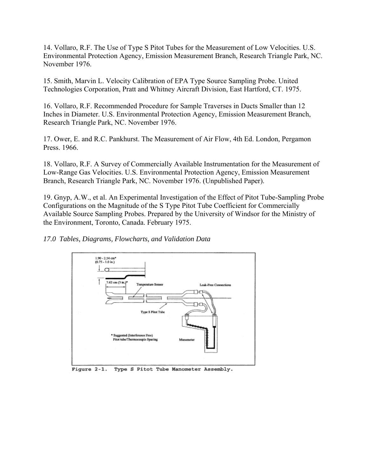14. Vollaro, R.F. The Use of Type S Pitot Tubes for the Measurement of Low Velocities. U.S. Environmental Protection Agency, Emission Measurement Branch, Research Triangle Park, NC. November 1976.

15. Smith, Marvin L. Velocity Calibration of EPA Type Source Sampling Probe. United Technologies Corporation, Pratt and Whitney Aircraft Division, East Hartford, CT. 1975.

16. Vollaro, R.F. Recommended Procedure for Sample Traverses in Ducts Smaller than 12 Inches in Diameter. U.S. Environmental Protection Agency, Emission Measurement Branch, Research Triangle Park, NC. November 1976.

17. Ower, E. and R.C. Pankhurst. The Measurement of Air Flow, 4th Ed. London, Pergamon Press. 1966.

18. Vollaro, R.F. A Survey of Commercially Available Instrumentation for the Measurement of Low-Range Gas Velocities. U.S. Environmental Protection Agency, Emission Measurement Branch, Research Triangle Park, NC. November 1976. (Unpublished Paper).

19. Gnyp, A.W., et al. An Experimental Investigation of the Effect of Pitot Tube-Sampling Probe Configurations on the Magnitude of the S Type Pitot Tube Coefficient for Commercially Available Source Sampling Probes. Prepared by the University of Windsor for the Ministry of the Environment, Toronto, Canada. February 1975.



*17.0 Tables, Diagrams, Flowcharts, and Validation Data*

Figure 2-1. Type S Pitot Tube Manometer Assembly.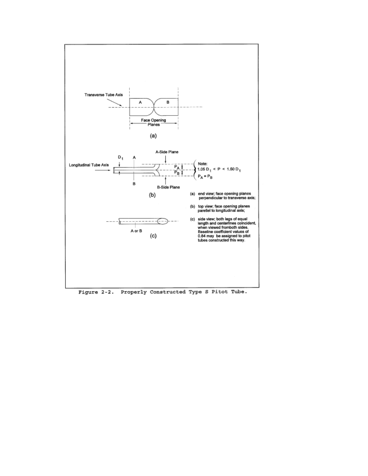

Figure 2-2. Properly Constructed Type S Pitot Tube.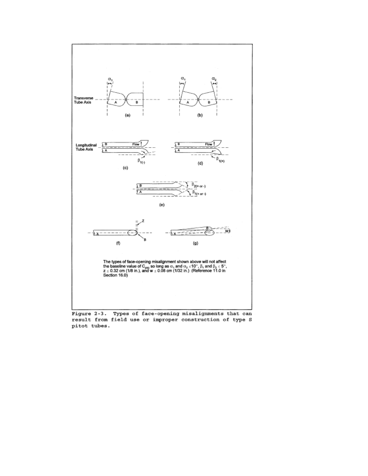

Figure 2-3. Types of face-opening misalignments that can result from field use or improper construction of type S pitot tubes.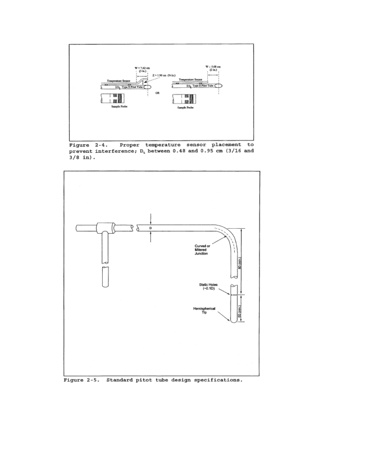

Proper temperature sensor placement to Figure 2-4. prevent interference;  $D_t$  between 0.48 and 0.95 cm (3/16 and  $3/8$  in).



Figure 2-5. Standard pitot tube design specifications.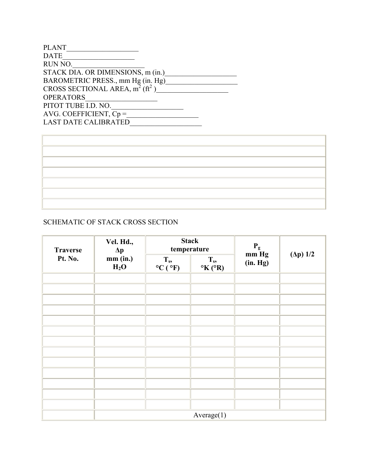| <b>PLANT</b>                                                                                 |
|----------------------------------------------------------------------------------------------|
| <b>DATE</b>                                                                                  |
| RUN NO.                                                                                      |
| STACK DIA. OR DIMENSIONS, m (in.)                                                            |
| BAROMETRIC PRESS., mm Hg (in. Hg)<br>CROSS SECTIONAL AREA, m <sup>2</sup> (ft <sup>2</sup> ) |
|                                                                                              |
| <b>OPERATORS</b>                                                                             |
| PITOT TUBE I.D. NO.                                                                          |
| AVG. COEFFICIENT, $Cp =$                                                                     |
| <b>LAST DATE CALIBRATED</b>                                                                  |

# SCHEMATIC OF STACK CROSS SECTION

| <b>Traverse</b> | Vel. Hd.,<br>$\Delta p$<br>mm (in.)<br>H <sub>2</sub> O | <b>Stack</b><br>temperature |                                   | $\mathbf{P}_{\text{g}}$ mm Hg |                  |  |
|-----------------|---------------------------------------------------------|-----------------------------|-----------------------------------|-------------------------------|------------------|--|
| Pt. No.         |                                                         | $T_s$ ,<br>°C (°F)          | $T_{s}$<br>$\rm ^oK$ ( $\rm ^oR)$ | (in. Hg)                      | $(\Delta p)$ 1/2 |  |
|                 |                                                         |                             |                                   |                               |                  |  |
|                 |                                                         |                             |                                   |                               |                  |  |
|                 |                                                         |                             |                                   |                               |                  |  |
|                 |                                                         |                             |                                   |                               |                  |  |
|                 |                                                         |                             |                                   |                               |                  |  |
|                 |                                                         |                             |                                   |                               |                  |  |
|                 |                                                         |                             |                                   |                               |                  |  |
|                 |                                                         |                             |                                   |                               |                  |  |
|                 |                                                         |                             |                                   |                               |                  |  |
|                 |                                                         |                             |                                   |                               |                  |  |
|                 |                                                         |                             |                                   |                               |                  |  |
|                 |                                                         |                             |                                   |                               |                  |  |
|                 |                                                         |                             |                                   |                               |                  |  |
|                 | Average(1)                                              |                             |                                   |                               |                  |  |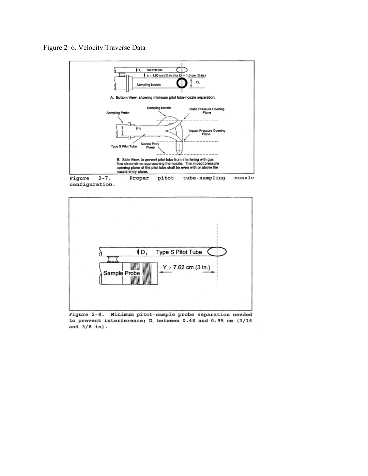



Figure Proper pitot tube-sampling configuration.



Figure 2-8. Minimum pitot-sample probe separation needed to prevent interference; D<sub>t</sub> between 0.48 and 0.95 cm (3/16 and  $3/8$  in).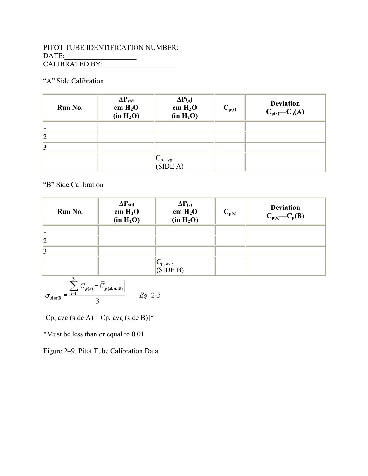## PITOT TUBE IDENTIFICATION NUMBER:\_\_\_\_\_\_\_\_\_\_\_\_\_\_\_\_\_\_\_\_  $\text{DATE:}\qquad \qquad \overline{\qquad \qquad }$ CALIBRATED BY:\_\_\_\_\_\_\_\_\_\_\_\_\_\_\_\_\_\_\_\_

# "A" Side Calibration

| Run No.        | $\Delta P_{std}$<br>cm H <sub>2</sub> O<br>(in H <sub>2</sub> O) | $\Delta P(s)$<br>cm H <sub>2</sub> O<br>(in H <sub>2</sub> O) | $C_{p(s)}$ | <b>Deviation</b><br>$C_{p(s)}$ - $C_p(A)$ |
|----------------|------------------------------------------------------------------|---------------------------------------------------------------|------------|-------------------------------------------|
|                |                                                                  |                                                               |            |                                           |
| 2              |                                                                  |                                                               |            |                                           |
| $\overline{3}$ |                                                                  |                                                               |            |                                           |
|                |                                                                  | $C_{p, avg}$<br>(SIDE A)                                      |            |                                           |

## "B" Side Calibration

| Run No.        | $\Delta P_{std}$<br>cm $H_2O$<br>(in H <sub>2</sub> O) | $\Delta P_{(s)}$<br>cm $H_2O$<br>(in H <sub>2</sub> O) | $C_{p(s)}$ | <b>Deviation</b><br>$C_{p(s)}$ - $C_p(B)$ |
|----------------|--------------------------------------------------------|--------------------------------------------------------|------------|-------------------------------------------|
|                |                                                        |                                                        |            |                                           |
| $\overline{2}$ |                                                        |                                                        |            |                                           |
|                |                                                        |                                                        |            |                                           |
|                |                                                        | $C_{p, avg}$<br>(SIDE B)                               |            |                                           |
|                |                                                        |                                                        |            |                                           |

$$
\sigma_{A \text{ or } B} = \frac{\sum_{i=1}^{3} \left| C_{p(i)} - \overline{C}_{p(A \text{ or } B)} \right|}{3} \qquad Eq. 2-5
$$

[Cp, avg (side A)—Cp, avg (side B)]\*

\*Must be less than or equal to 0.01

Figure 2–9. Pitot Tube Calibration Data